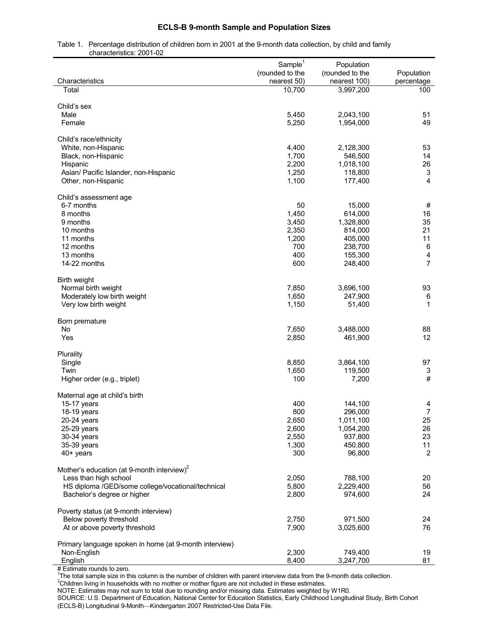## **ECLS-B 9-month Sample and Population Sizes**

Table 1. Percentage distribution of children born in 2001 at the 9-month data collection, by child and family characteristics: 2001-02

| Characteristics                                                                  | Sample <sup>1</sup><br>(rounded to the<br>nearest 50) | Population<br>(rounded to the<br>nearest 100) | Population<br>percentage |
|----------------------------------------------------------------------------------|-------------------------------------------------------|-----------------------------------------------|--------------------------|
| Total                                                                            | 10,700                                                | 3,997,200                                     | 100                      |
|                                                                                  |                                                       |                                               |                          |
| Child's sex                                                                      |                                                       |                                               |                          |
| Male                                                                             | 5,450                                                 | 2,043,100                                     | 51                       |
| Female                                                                           | 5,250                                                 | 1,954,000                                     | 49                       |
| Child's race/ethnicity                                                           |                                                       |                                               |                          |
| White, non-Hispanic                                                              | 4,400                                                 | 2,128,300                                     | 53                       |
| Black, non-Hispanic                                                              | 1,700                                                 | 546,500                                       | 14                       |
| Hispanic                                                                         | 2,200                                                 | 1,018,100                                     | 26                       |
| Asian/ Pacific Islander, non-Hispanic                                            | 1,250                                                 | 118,800                                       | 3                        |
| Other, non-Hispanic                                                              | 1,100                                                 | 177,400                                       | $\overline{4}$           |
|                                                                                  |                                                       |                                               |                          |
| Child's assessment age<br>6-7 months                                             | 50                                                    | 15,000                                        | #                        |
| 8 months                                                                         | 1,450                                                 | 614,000                                       | 16                       |
| 9 months                                                                         | 3,450                                                 | 1,328,800                                     | 35                       |
| 10 months                                                                        | 2,350                                                 | 814,000                                       | 21                       |
| 11 months                                                                        | 1,200                                                 | 405,000                                       | 11                       |
| 12 months                                                                        | 700                                                   | 238,700                                       | 6                        |
| 13 months                                                                        | 400                                                   | 155,300                                       | $\overline{\mathbf{4}}$  |
| 14-22 months                                                                     | 600                                                   | 248,400                                       | $\overline{7}$           |
|                                                                                  |                                                       |                                               |                          |
| Birth weight<br>Normal birth weight                                              | 7,850                                                 | 3,696,100                                     | 93                       |
| Moderately low birth weight                                                      | 1,650                                                 | 247,900                                       | 6                        |
| Very low birth weight                                                            | 1,150                                                 | 51,400                                        | $\mathbf{1}$             |
|                                                                                  |                                                       |                                               |                          |
| Born premature                                                                   |                                                       |                                               |                          |
| <b>No</b>                                                                        | 7,650                                                 | 3,488,000                                     | 88                       |
| Yes                                                                              | 2,850                                                 | 461,900                                       | 12                       |
| Plurality                                                                        |                                                       |                                               |                          |
| Single                                                                           | 8,850                                                 | 3,864,100                                     | 97                       |
| Twin                                                                             | 1,650                                                 | 119,500                                       | 3                        |
| Higher order (e.g., triplet)                                                     | 100                                                   | 7,200                                         | #                        |
|                                                                                  |                                                       |                                               |                          |
| Maternal age at child's birth<br>15-17 years                                     | 400                                                   | 144,100                                       |                          |
| 18-19 years                                                                      | 800                                                   | 296,000                                       | 4<br>$\overline{7}$      |
| $20-24$ years                                                                    | 2,650                                                 | 1,011,100                                     | 25                       |
| 25-29 years                                                                      | 2,600                                                 | 1,054,200                                     | 26                       |
| 30-34 years                                                                      | 2,550                                                 | 937,800                                       | 23                       |
| 35-39 years                                                                      | 1,300                                                 | 450,800                                       | 11                       |
| 40+ years                                                                        | 300                                                   | 96,800                                        | $\overline{2}$           |
|                                                                                  |                                                       |                                               |                          |
| Mother's education (at 9-month interview) <sup>2</sup>                           |                                                       |                                               |                          |
| Less than high school                                                            | 2,050                                                 | 788,100                                       | 20                       |
| HS diploma /GED/some college/vocational/technical<br>Bachelor's degree or higher | 5,800<br>2,800                                        | 2,229,400<br>974,600                          | 56<br>24                 |
|                                                                                  |                                                       |                                               |                          |
| Poverty status (at 9-month interview)                                            |                                                       |                                               |                          |
| Below poverty threshold                                                          | 2,750                                                 | 971,500                                       | 24                       |
| At or above poverty threshold                                                    | 7,900                                                 | 3,025,600                                     | 76                       |
| Primary language spoken in home (at 9-month interview)                           |                                                       |                                               |                          |
| Non-English                                                                      | 2,300                                                 | 749,400                                       | 19                       |
| English                                                                          | 8,400                                                 | 3,247,700                                     | 81                       |

# Estimate rounds to zero.<br><sup>1</sup>The total sample size in this column is the number of children with parent interview data from the 9-month data collection.

<sup>2</sup>Children living in households with no mother or mother figure are not included in these estimates.

NOTE: Estimates may not sum to total due to rounding and/or missing data. Estimates weighted by W1R0.

SOURCE: U.S. Department of Education, National Center for Education Statistics, Early Childhood Longitudinal Study, Birth Cohort (ECLS-B) Longitudinal 9-Month-Kindergarten 2007 Restricted-Use Data File.